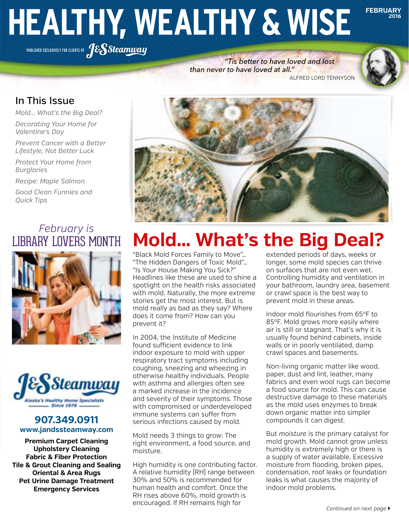# **HEALTHY, WEALTHY & WISE**

PUBLISHED EXCLUSIVELY FOR CLIENTS OF **JESSteamway** 

were, nor ever will be a people never will be concealed from the transactions of the transactions of the transactions of the transactions of the transactions of the transactions of the transactions of the transactions of t  *"Tis better to have loved and lost than never to have loved at all."*



**FEBRUARY**

**2016**

### In This Issue

*Mold... What's the Big Deal?*

*Decorating Your Home for Valentine's Day*

*Prevent Cancer with a Better Lifestyle, Not Better Luck*

*Protect Your Home from Burglaries*

*Recipe: Maple Salmon*

*Good Clean Funnies and Quick Tips*

## *February is* LIBRARY LOVERS MONTH





#### **907.349.0911 www.jandssteamway.com**

**Premium Carpet Cleaning Upholstery Cleaning Fabric & Fiber Protection Tile & Grout Cleaning and Sealing Oriental & Area Rugs Pet Urine Damage Treatment Emergency Services**



# **Mold… What's the Big Deal?**

"Black Mold Forces Family to Move"… "The Hidden Dangers of Toxic Mold"… "Is Your House Making You Sick?" Headlines like these are used to shine a spotlight on the health risks associated with mold. Naturally, the more extreme stories get the most interest. But is mold really as bad as they say? Where does it come from? How can you prevent it?

In 2004, the Institute of Medicine found sufficient evidence to link indoor exposure to mold with upper respiratory tract symptoms including coughing, sneezing and wheezing in otherwise healthy individuals. People with asthma and allergies often see a marked increase in the incidence and severity of their symptoms. Those with compromised or underdeveloped immune systems can suffer from serious infections caused by mold.

Mold needs 3 things to grow: The right environment, a food source, and moisture.

High humidity is one contributing factor. A relative humidity (RH) range between 30% and 50% is recommended for human health and comfort. Once the RH rises above 60%, mold growth is encouraged. If RH remains high for

extended periods of days, weeks or longer, some mold species can thrive on surfaces that are not even wet. Controlling humidity and ventilation in your bathroom, laundry area, basement or crawl space is the best way to prevent mold in these areas.

Indoor mold flourishes from 65°F to 85°F. Mold grows more easily where air is still or stagnant. That's why it is usually found behind cabinets, inside walls or in poorly ventilated, damp crawl spaces and basements.

Non-living organic matter like wood, paper, dust and lint, leather, many fabrics and even wool rugs can become a food source for mold. This can cause destructive damage to these materials as the mold uses enzymes to break down organic matter into simpler compounds it can digest.

But *moisture* is the primary catalyst for mold growth. Mold cannot grow unless humidity is extremely high or there is a supply of water available. Excessive moisture from flooding, broken pipes, condensation, roof leaks or foundation leaks is what causes the majority of indoor mold problems.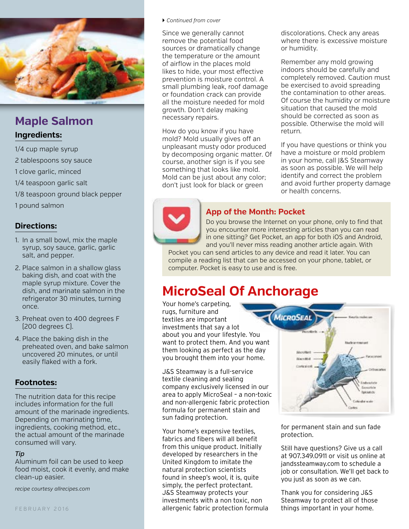

## **Maple Salmon**

#### **Ingredients:**

1/4 cup maple syrup

2 tablespoons soy sauce

1 clove garlic, minced

1/4 teaspoon garlic salt

1/8 teaspoon ground black pepper

1 pound salmon

#### **Directions:**

- 1. In a small bowl, mix the maple syrup, soy sauce, garlic, garlic salt, and pepper.
- 2. Place salmon in a shallow glass baking dish, and coat with the maple syrup mixture. Cover the dish, and marinate salmon in the refrigerator 30 minutes, turning once.
- 3. Preheat oven to 400 degrees F (200 degrees C).
- 4. Place the baking dish in the preheated oven, and bake salmon uncovered 20 minutes, or until easily flaked with a fork.

#### **Footnotes:**

The nutrition data for this recipe includes information for the full amount of the marinade ingredients. Depending on marinating time, ingredients, cooking method, etc., the actual amount of the marinade consumed will vary.

#### *Tip*

Aluminum foil can be used to keep food moist, cook it evenly, and make clean-up easier.

*recipe courtesy allrecipes.com*

#### } *Continued from cover*

Since we generally cannot remove the potential food sources or dramatically change the temperature or the amount of airflow in the places mold likes to hide, your most effective prevention is moisture control. A small plumbing leak, roof damage or foundation crack can provide all the moisture needed for mold growth. Don't delay making necessary repairs.

How do you know if you have mold? Mold usually gives off an unpleasant musty odor produced by decomposing organic matter. Of course, another sign is if you see something that looks like mold. Mold can be just about any color; don't just look for black or green

discolorations. Check any areas where there is excessive moisture or humidity.

Remember any mold growing indoors should be carefully and completely removed. Caution must be exercised to avoid spreading the contamination to other areas. Of course the humidity or moisture situation that caused the mold should be corrected as soon as possible. Otherwise the mold will return.

If you have questions or think you have a moisture or mold problem in your home, call J&S Steamway as soon as possible. We will help identify and correct the problem and avoid further property damage or health concerns.



Do you browse the Internet on your phone, only to find that you encounter more interesting articles than you can read in one sitting? Get Pocket, an app for both iOS and Android, and you'll never miss reading another article again. With

Pocket you can send articles to any device and read it later. You can compile a reading list that can be accessed on your phone, tablet, or computer. Pocket is easy to use and is free.

## **MicroSeal Of Anchorage**

Your home's carpeting, rugs, furniture and textiles are important investments that say a lot about you and your lifestyle. You want to protect them. And you want them looking as perfect as the day you brought them into your home.

J&S Steamway is a full-service textile cleaning and sealing company exclusively licensed in our area to apply MicroSeal – a non-toxic and non-allergenic fabric protection formula for permanent stain and sun fading protection.

Your home's expensive textiles, fabrics and fibers will all benefit from this unique product. Initially developed by researchers in the United Kingdom to imitate the natural protection scientists found in sheep's wool, it is, quite simply, the perfect protectant. J&S Steamway protects your investments with a non toxic, non allergenic fabric protection formula



for permanent stain and sun fade protection.

Still have questions? Give us a call at 907.349.0911 or visit us online at jandssteamway.com to schedule a job or consultation. We'll get back to you just as soon as we can.

Thank you for considering J&S Steamway to protect all of those things important in your home.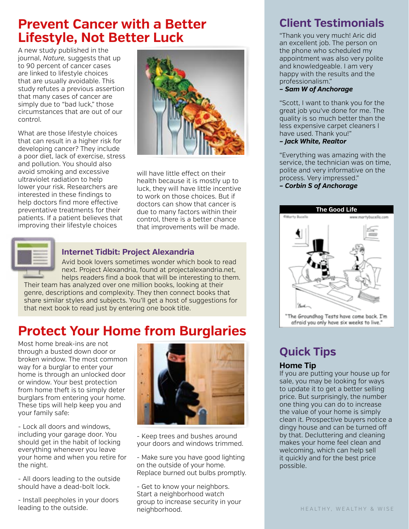## **Prevent Cancer with a Better Lifestyle, Not Better Luck**

A new study published in the journal, *Nature,* suggests that up to 90 percent of cancer cases are linked to lifestyle choices that are usually avoidable. This study refutes a previous assertion that many cases of cancer are simply due to "bad luck," those circumstances that are out of our control.

What are those lifestyle choices that can result in a higher risk for developing cancer? They include a poor diet, lack of exercise, stress and pollution. You should also avoid smoking and excessive ultraviolet radiation to help lower your risk. Researchers are interested in these findings to help doctors find more effective preventative treatments for their patients. If a patient believes that improving their lifestyle choices



will have little effect on their health because it is mostly up to luck, they will have little incentive to work on those choices. But if doctors can show that cancer is due to many factors within their control, there is a better chance that improvements will be made.



#### **Internet Tidbit: Project Alexandria**

Avid book lovers sometimes wonder which book to read next. Project Alexandria, found at projectalexandria.net, helps readers find a book that will be interesting to them.

Their team has analyzed over one million books, looking at their genre, descriptions and complexity. They then connect books that share similar styles and subjects. You'll get a host of suggestions for that next book to read just by entering one book title.

## **Protect Your Home from Burglaries**

Most home break-ins are not through a busted down door or broken window. The most common way for a burglar to enter your home is through an unlocked door or window. Your best protection from home theft is to simply deter burglars from entering your home. These tips will help keep you and your family safe:

- Lock all doors and windows, including your garage door. You should get in the habit of locking everything whenever you leave your home and when you retire for the night.

- All doors leading to the outside should have a dead-bolt lock.

- Install peepholes in your doors leading to the outside.



- Keep trees and bushes around your doors and windows trimmed.
- Make sure you have good lighting on the outside of your home. Replace burned out bulbs promptly.

- Get to know your neighbors. Start a neighborhood watch group to increase security in your neighborhood.

## **Client Testimonials**

"Thank you very much! Aric did an excellent job. The person on the phone who scheduled my appointment was also very polite and knowledgeable. I am very happy with the results and the professionalism."

*– Sam W of Anchorage*

"Scott, I want to thank you for the great job you've done for me. The quality is so much better than the less expensive carpet cleaners I have used. Thank you!"

#### *– Jack White, Realtor*

"Everything was amazing with the service, the technician was on time, polite and very informative on the process. Very impressed." *– Corbin S of Anchorage*



## **Quick Tips**

#### **Home Tip**

If you are putting your house up for sale, you may be looking for ways to update it to get a better selling price. But surprisingly, the number one thing you can do to increase the value of your home is simply clean it. Prospective buyers notice a dingy house and can be turned off by that. Decluttering and cleaning makes your home feel clean and welcoming, which can help sell it quickly and for the best price possible.